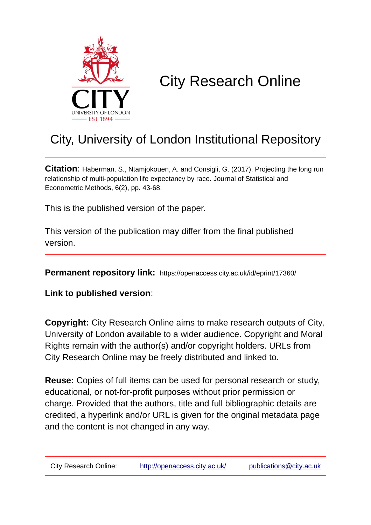

# City Research Online

## City, University of London Institutional Repository

**Citation**: Haberman, S., Ntamjokouen, A. and Consigli, G. (2017). Projecting the long run relationship of multi-population life expectancy by race. Journal of Statistical and Econometric Methods, 6(2), pp. 43-68.

This is the published version of the paper.

This version of the publication may differ from the final published version.

**Permanent repository link:** https://openaccess.city.ac.uk/id/eprint/17360/

**Link to published version**:

**Copyright:** City Research Online aims to make research outputs of City, University of London available to a wider audience. Copyright and Moral Rights remain with the author(s) and/or copyright holders. URLs from City Research Online may be freely distributed and linked to.

**Reuse:** Copies of full items can be used for personal research or study, educational, or not-for-profit purposes without prior permission or charge. Provided that the authors, title and full bibliographic details are credited, a hyperlink and/or URL is given for the original metadata page and the content is not changed in any way.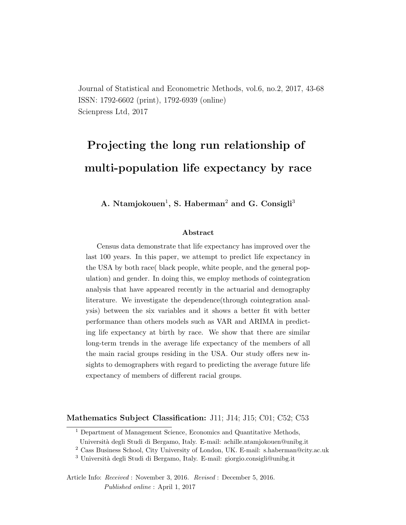Journal of Statistical and Econometric Methods, vol.6, no.2, 2017, 43-68 ISSN: 1792-6602 (print), 1792-6939 (online) Scienpress Ltd, 2017

## Projecting the long run relationship of multi-population life expectancy by race

A. Ntamjokouen<sup>1</sup>, S. Haberman<sup>2</sup> and G. Consigli<sup>3</sup>

#### Abstract

Census data demonstrate that life expectancy has improved over the last 100 years. In this paper, we attempt to predict life expectancy in the USA by both race( black people, white people, and the general population) and gender. In doing this, we employ methods of cointegration analysis that have appeared recently in the actuarial and demography literature. We investigate the dependence(through cointegration analysis) between the six variables and it shows a better fit with better performance than others models such as VAR and ARIMA in predicting life expectancy at birth by race. We show that there are similar long-term trends in the average life expectancy of the members of all the main racial groups residing in the USA. Our study offers new insights to demographers with regard to predicting the average future life expectancy of members of different racial groups.

Mathematics Subject Classification: J11; J14; J15; C01; C52; C53

Article Info: Received : November 3, 2016. Revised : December 5, 2016. Published online : April 1, 2017

<sup>&</sup>lt;sup>1</sup> Department of Management Science, Economics and Quantitative Methods,

Universit`a degli Studi di Bergamo, Italy. E-mail: achille.ntamjokouen@unibg.it

<sup>2</sup> Cass Business School, City University of London, UK. E-mail: s.haberman@city.ac.uk

<sup>&</sup>lt;sup>3</sup> Università degli Studi di Bergamo, Italy. E-mail: giorgio.consigli@unibg.it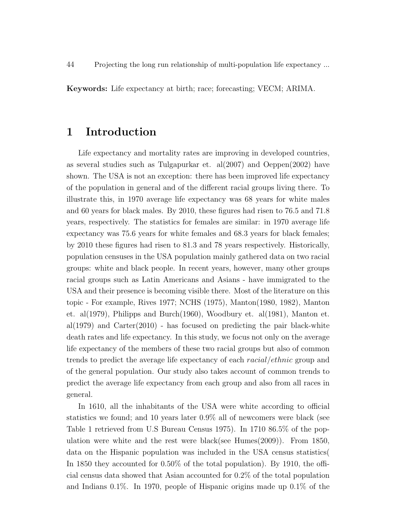Keywords: Life expectancy at birth; race; forecasting; VECM; ARIMA.

#### 1 Introduction

Life expectancy and mortality rates are improving in developed countries, as several studies such as Tulgapurkar et.  $al(2007)$  and Oeppen $(2002)$  have shown. The USA is not an exception: there has been improved life expectancy of the population in general and of the different racial groups living there. To illustrate this, in 1970 average life expectancy was 68 years for white males and 60 years for black males. By 2010, these figures had risen to 76.5 and 71.8 years, respectively. The statistics for females are similar: in 1970 average life expectancy was 75.6 years for white females and 68.3 years for black females; by 2010 these figures had risen to 81.3 and 78 years respectively. Historically, population censuses in the USA population mainly gathered data on two racial groups: white and black people. In recent years, however, many other groups racial groups such as Latin Americans and Asians - have immigrated to the USA and their presence is becoming visible there. Most of the literature on this topic - For example, Rives 1977; NCHS (1975), Manton(1980, 1982), Manton et. al(1979), Philipps and Burch(1960), Woodbury et. al(1981), Manton et. al(1979) and Carter(2010) - has focused on predicting the pair black-white death rates and life expectancy. In this study, we focus not only on the average life expectancy of the members of these two racial groups but also of common trends to predict the average life expectancy of each racial/ethnic group and of the general population. Our study also takes account of common trends to predict the average life expectancy from each group and also from all races in general.

In 1610, all the inhabitants of the USA were white according to official statistics we found; and 10 years later 0.9% all of newcomers were black (see Table 1 retrieved from U.S Bureau Census 1975). In 1710 86.5% of the population were white and the rest were black(see Humes(2009)). From 1850, data on the Hispanic population was included in the USA census statistics( In 1850 they accounted for 0.50% of the total population). By 1910, the official census data showed that Asian accounted for 0.2% of the total population and Indians 0.1%. In 1970, people of Hispanic origins made up 0.1% of the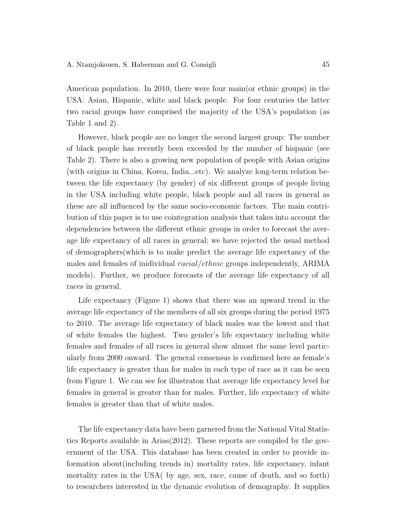American population. In 2010, there were four main(or ethnic groups) in the USA: Asian, Hispanic, white and black people. For four centuries the latter two racial groups have comprised the majority of the USA's population (as Table 1 and 2).

However, black people are no longer the second largest group: The number of black people has recently been exceeded by the number of hispanic (see Table 2). There is also a growing new population of people with Asian origins (with origins in China, Korea, India...etc). We analyze long-term relation between the life expectancy (by gender) of six different groups of people living in the USA including white people, black people and all races in general as these are all influenced by the same socio-economic factors. The main contribution of this paper is to use cointegration analysis that takes into account the dependencies between the different ethnic groups in order to forecast the average life expectancy of all races in general; we have rejected the usual method of demographers(which is to make predict the average life expectancy of the males and females of inidividual racial/ethnic groups independently, ARIMA models). Further, we produce forecasts of the average life expectancy of all races in general.

Life expectancy (Figure 1) shows that there was an upward trend in the average life expectancy of the members of all six groups during the period 1975 to 2010. The average life expectancy of black males was the lowest and that of white females the highest. Two gender's life expectancy including white females and females of all races in general show almost the same level particularly from 2000 onward. The general consensus is confirmed here as female's life expectancy is greater than for males in each type of race as it can be seen from Figure 1. We can see for illustraton that average life expectancy level for females in general is greater than for males. Further, life expectancy of white females is greater than that of white males.

The life expectancy data have been garnered from the National Vital Statistics Reports available in Arias(2012). These reports are compiled by the government of the USA. This database has been created in order to provide information about(including trends in) mortality rates, life expectancy, infant mortality rates in the USA( by age, sex, race, cause of death, and so forth) to researchers interested in the dynamic evolution of demography. It supplies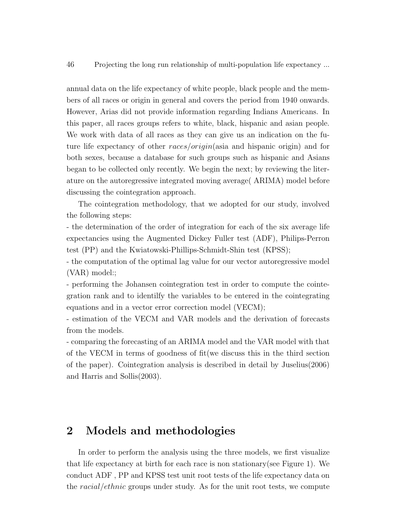annual data on the life expectancy of white people, black people and the members of all races or origin in general and covers the period from 1940 onwards. However, Arias did not provide information regarding Indians Americans. In this paper, all races groups refers to white, black, hispanic and asian people. We work with data of all races as they can give us an indication on the future life expectancy of other races/origin(asia and hispanic origin) and for both sexes, because a database for such groups such as hispanic and Asians began to be collected only recently. We begin the next; by reviewing the literature on the autoregressive integrated moving average( ARIMA) model before discussing the cointegration approach.

The cointegration methodology, that we adopted for our study, involved the following steps:

- the determination of the order of integration for each of the six average life expectancies using the Augmented Dickey Fuller test (ADF), Philips-Perron test (PP) and the Kwiatowski-Phillips-Schmidt-Shin test (KPSS);

- the computation of the optimal lag value for our vector autoregressive model (VAR) model:;

- performing the Johansen cointegration test in order to compute the cointegration rank and to identilfy the variables to be entered in the cointegrating equations and in a vector error correction model (VECM);

- estimation of the VECM and VAR models and the derivation of forecasts from the models.

- comparing the forecasting of an ARIMA model and the VAR model with that of the VECM in terms of goodness of fit(we discuss this in the third section of the paper). Cointegration analysis is described in detail by Juselius(2006) and Harris and Sollis(2003).

#### 2 Models and methodologies

In order to perform the analysis using the three models, we first visualize that life expectancy at birth for each race is non stationary(see Figure 1). We conduct ADF , PP and KPSS test unit root tests of the life expectancy data on the racial/ethnic groups under study. As for the unit root tests, we compute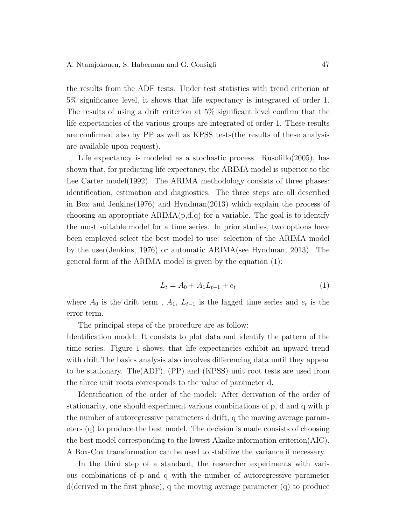the results from the ADF tests. Under test statistics with trend criterion at 5% significance level, it shows that life expectancy is integrated of order 1. The results of using a drift criterion at 5% significant level confirm that the life expectancies of the various groups are integrated of order 1. These results are confirmed also by PP as well as KPSS tests(the results of these analysis are available upon request).

Life expectancy is modeled as a stochastic process. Rusolillo $(2005)$ , has shown that, for predicting life expectancy, the ARIMA model is superior to the Lee Carter model(1992). The ARIMA methodology consists of three phases: identification, estimation and diagnostics. The three steps are all described in Box and Jenkins(1976) and Hyndman(2013) which explain the process of choosing an appropriate  $ARIMA(p,d,q)$  for a variable. The goal is to identify the most suitable model for a time series. In prior studies, two options have been employed select the best model to use: selection of the ARIMA model by the user(Jenkins, 1976) or automatic ARIMA(see Hyndman, 2013). The general form of the ARIMA model is given by the equation (1):

$$
L_t = A_0 + A_1 L_{t-1} + e_t \tag{1}
$$

where  $A_0$  is the drift term,  $A_1$ ,  $L_{t-1}$  is the lagged time series and  $e_t$  is the error term.

The principal steps of the procedure are as follow:

Identification model: It consists to plot data and identify the pattern of the time series. Figure 1 shows, that life expectancies exhibit an upward trend with drift.The basics analysis also involves differencing data until they appear to be stationary. The(ADF), (PP) and (KPSS) unit root tests are used from the three unit roots corresponds to the value of parameter d.

Identification of the order of the model: After derivation of the order of stationarity, one should experiment various combinations of p, d and q with p the number of autoregressive parameters d drift, q the moving average parameters (q) to produce the best model. The decision is made consists of choosing the best model corresponding to the lowest Akaike information criterion(AIC). A Box-Cox transformation can be used to stabilize the variance if necessary.

In the third step of a standard, the researcher experiments with various combinations of p and q with the number of autoregressive parameter d(derived in the first phase), q the moving average parameter (q) to produce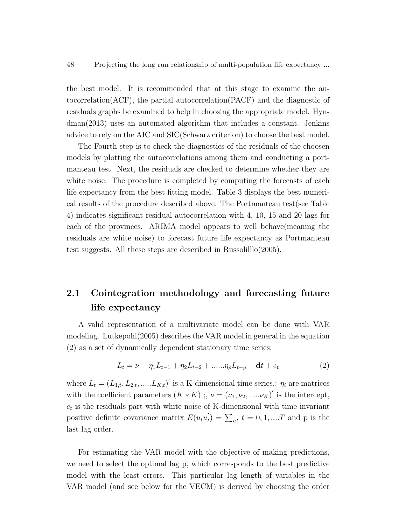the best model. It is recommended that at this stage to examine the autocorrelation(ACF), the partial autocorrelation(PACF) and the diagnostic of residuals graphs be examined to help in choosing the appropriate model. Hyndman(2013) uses an automated algorithm that includes a constant. Jenkins advice to rely on the AIC and SIC(Schwarz criterion) to choose the best model.

The Fourth step is to check the diagnostics of the residuals of the choosen models by plotting the autocorrelations among them and conducting a portmanteau test. Next, the residuals are checked to determine whether they are white noise. The procedure is completed by computing the forecasts of each life expectancy from the best fitting model. Table 3 displays the best numerical results of the procedure described above. The Portmanteau test(see Table 4) indicates significant residual autocorrelation with 4, 10, 15 and 20 lags for each of the provinces. ARIMA model appears to well behave(meaning the residuals are white noise) to forecast future life expectancy as Portmanteau test suggests. All these steps are described in Russolilllo(2005).

## 2.1 Cointegration methodology and forecasting future life expectancy

A valid representation of a multivariate model can be done with VAR modeling. Lutkepohl(2005) describes the VAR model in general in the equation (2) as a set of dynamically dependent stationary time series:

$$
L_t = \nu + \eta_1 L_{t-1} + \eta_2 L_{t-2} + \dots \eta_p L_{t-p} + \mathbf{d}t + e_t \tag{2}
$$

where  $L_t = (L_{1,t}, L_{2,t}, \dots, L_{K,t})'$  is a K-dimensional time series,:  $\eta_i$  are matrices with the coefficient parameters  $(K * K)$ ;,  $\nu = (\nu_1, \nu_2, \ldots, \nu_K)'$  is the intercept,  $e_t$  is the residuals part with white noise of K-dimensional with time invariant positive definite covariance matrix  $E(u_t u'_t)$  $t<sub>t</sub>$ ) =  $\sum_{u}$ ,  $t = 0, 1, ...T$  and p is the last lag order.

For estimating the VAR model with the objective of making predictions, we need to select the optimal lag p, which corresponds to the best predictive model with the least errors. This particular lag length of variables in the VAR model (and see below for the VECM) is derived by choosing the order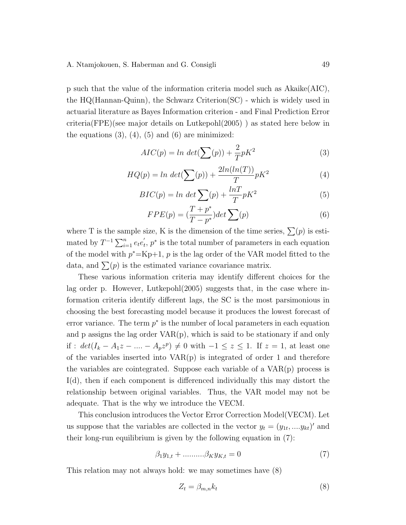#### A. Ntamjokouen, S. Haberman and G. Consigli 49

p such that the value of the information criteria model such as Akaike(AIC), the HQ(Hannan-Quinn), the Schwarz Criterion(SC) - which is widely used in actuarial literature as Bayes Information criterion - and Final Prediction Error criteria(FPE)(see major details on Lutkepohl(2005) ) as stated here below in the equations  $(3)$ ,  $(4)$ ,  $(5)$  and  $(6)$  are minimized:

$$
AIC(p) = \ln \det(\sum(p)) + \frac{2}{T}pK^2
$$
\n(3)

$$
HQ(p) = \ln \det(\sum(p)) + \frac{2\ln(\ln(T))}{T} pK^2
$$
\n<sup>(4)</sup>

$$
BIC(p) = \ln \det \sum_{r} (p) + \frac{\ln T}{T} pK^2 \tag{5}
$$

$$
FPE(p) = \left(\frac{T + p^*}{T - p^*}\right)det \sum(p) \tag{6}
$$

where T is the sample size, K is the dimension of the time series,  $\sum(p)$  is estimated by  $T^{-1} \sum_{i=1}^{n} e_t e_t'$  $t, p^*$  is the total number of parameters in each equation of the model with  $p^* = Kp+1$ , p is the lag order of the VAR model fitted to the data, and  $\sum(p)$  is the estimated variance covariance matrix.

These various information criteria may identify different choices for the lag order p. However, Lutkepohl(2005) suggests that, in the case where information criteria identify different lags, the SC is the most parsimonious in choosing the best forecasting model because it produces the lowest forecast of error variance. The term  $p^*$  is the number of local parameters in each equation and  $p$  assigns the lag order  $VAR(p)$ , which is said to be stationary if and only if :  $det(I_k - A_1z - ... - A_pz^p) \neq 0$  with  $-1 \leq z \leq 1$ . If  $z = 1$ , at least one of the variables inserted into  $VAR(p)$  is integrated of order 1 and therefore the variables are cointegrated. Suppose each variable of a  $VAR(p)$  process is I(d), then if each component is differenced individually this may distort the relationship between original variables. Thus, the VAR model may not be adequate. That is the why we introduce the VECM.

This conclusion introduces the Vector Error Correction Model(VECM). Let us suppose that the variables are collected in the vector  $y_t = (y_{1t}, ..., y_{kt})'$  and their long-run equilibrium is given by the following equation in (7):

$$
\beta_1 y_{1,t} + \dots \dots \beta_K y_{K,t} = 0 \tag{7}
$$

This relation may not always hold: we may sometimes have (8)

$$
Z_t = \beta_{m,n} k_t \tag{8}
$$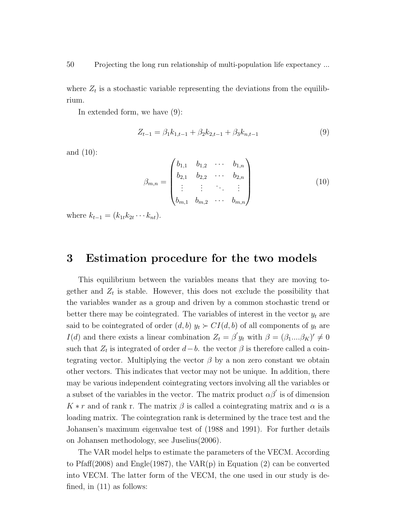where  $Z_t$  is a stochastic variable representing the deviations from the equilibrium.

In extended form, we have (9):

$$
Z_{t-1} = \beta_1 k_{1,t-1} + \beta_2 k_{2,t-1} + \beta_3 k_{n,t-1}
$$
\n(9)

and (10):

$$
\beta_{m,n} = \begin{pmatrix} b_{1,1} & b_{1,2} & \cdots & b_{1,n} \\ b_{2,1} & b_{2,2} & \cdots & b_{2,n} \\ \vdots & \vdots & \ddots & \vdots \\ b_{m,1} & b_{m,2} & \cdots & b_{m,n} \end{pmatrix}
$$
 (10)

where  $k_{t-1} = (k_{1t}k_{2t} \cdots k_{nt}).$ 

## 3 Estimation procedure for the two models

This equilibrium between the variables means that they are moving together and  $Z_t$  is stable. However, this does not exclude the possibility that the variables wander as a group and driven by a common stochastic trend or better there may be cointegrated. The variables of interest in the vector  $y_t$  are said to be cointegrated of order  $(d, b)$   $y_t \succ CI(d, b)$  of all components of  $y_t$  are  $I(d)$  and there exists a linear combination  $Z_t = \beta' y_t$  with  $\beta = (\beta_1...\beta_K)' \neq 0$ such that  $Z_t$  is integrated of order  $d-b$ , the vector  $\beta$  is therefore called a cointegrating vector. Multiplying the vector  $\beta$  by a non zero constant we obtain other vectors. This indicates that vector may not be unique. In addition, there may be various independent cointegrating vectors involving all the variables or a subset of the variables in the vector. The matrix product  $\alpha\beta'$  is of dimension  $K * r$  and of rank r. The matrix  $\beta$  is called a cointegrating matrix and  $\alpha$  is a loading matrix. The cointegration rank is determined by the trace test and the Johansen's maximum eigenvalue test of (1988 and 1991). For further details on Johansen methodology, see Juselius(2006).

The VAR model helps to estimate the parameters of the VECM. According to Pfaff(2008) and Engle(1987), the VAR(p) in Equation (2) can be converted into VECM. The latter form of the VECM, the one used in our study is defined, in (11) as follows: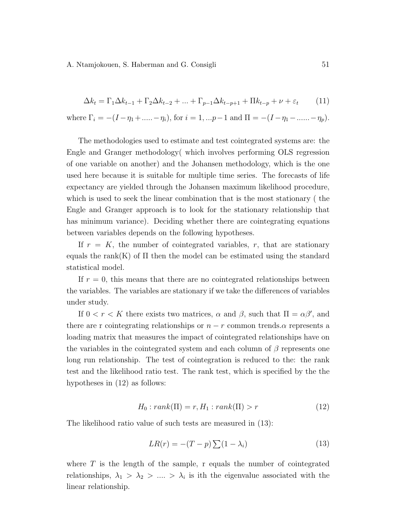A. Ntamjokouen, S. Haberman and G. Consigli 51

$$
\Delta k_t = \Gamma_1 \Delta k_{t-1} + \Gamma_2 \Delta k_{t-2} + \dots + \Gamma_{p-1} \Delta k_{t-p+1} + \Pi k_{t-p} + \nu + \varepsilon_t \tag{11}
$$

where  $\Gamma_i = -(I - \eta_1 + \dots - \eta_i)$ , for  $i = 1, \dots p-1$  and  $\Pi = -(I - \eta_1 - \dots - \eta_p)$ .

The methodologies used to estimate and test cointegrated systems are: the Engle and Granger methodology( which involves performing OLS regression of one variable on another) and the Johansen methodology, which is the one used here because it is suitable for multiple time series. The forecasts of life expectancy are yielded through the Johansen maximum likelihood procedure, which is used to seek the linear combination that is the most stationary ( the Engle and Granger approach is to look for the stationary relationship that has minimum variance). Deciding whether there are cointegrating equations between variables depends on the following hypotheses.

If  $r = K$ , the number of cointegrated variables, r, that are stationary equals the rank(K) of  $\Pi$  then the model can be estimated using the standard statistical model.

If  $r = 0$ , this means that there are no cointegrated relationships between the variables. The variables are stationary if we take the differences of variables under study.

If  $0 < r < K$  there exists two matrices,  $\alpha$  and  $\beta$ , such that  $\Pi = \alpha \beta'$ , and there are r cointegrating relationships or  $n - r$  common trends. $\alpha$  represents a loading matrix that measures the impact of cointegrated relationships have on the variables in the cointegrated system and each column of  $\beta$  represents one long run relationship. The test of cointegration is reduced to the: the rank test and the likelihood ratio test. The rank test, which is specified by the the hypotheses in (12) as follows:

$$
H_0: rank(\Pi) = r, H_1: rank(\Pi) > r \tag{12}
$$

The likelihood ratio value of such tests are measured in (13):

$$
LR(r) = -(T - p) \sum (1 - \lambda_i)
$$
\n(13)

where  $T$  is the length of the sample, r equals the number of cointegrated relationships,  $\lambda_1 > \lambda_2 > \ldots > \lambda_i$  is ith the eigenvalue associated with the linear relationship.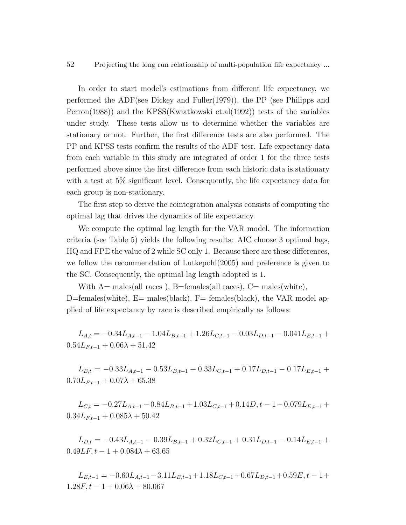In order to start model's estimations from different life expectancy, we performed the ADF(see Dickey and Fuller(1979)), the PP (see Philipps and Perron(1988)) and the KPSS(Kwiatkowski et.al(1992)) tests of the variables under study. These tests allow us to determine whether the variables are stationary or not. Further, the first difference tests are also performed. The PP and KPSS tests confirm the results of the ADF tesr. Life expectancy data from each variable in this study are integrated of order 1 for the three tests performed above since the first difference from each historic data is stationary with a test at 5% significant level. Consequently, the life expectancy data for each group is non-stationary.

The first step to derive the cointegration analysis consists of computing the optimal lag that drives the dynamics of life expectancy.

We compute the optimal lag length for the VAR model. The information criteria (see Table 5) yields the following results: AIC choose 3 optimal lags, HQ and FPE the value of 2 while SC only 1. Because there are these differences, we follow the recommendation of Lutkepohl(2005) and preference is given to the SC. Consequently, the optimal lag length adopted is 1.

With  $A=$  males(all races), B=females(all races), C= males(white), D=females(white),  $E=$  males(black),  $F=$  females(black), the VAR model applied of life expectancy by race is described empirically as follows:

 $L_{A,t} = -0.34L_{A,t-1} - 1.04L_{B,t-1} + 1.26L_{C,t-1} - 0.03L_{D,t-1} - 0.041L_{E,t-1} +$  $0.54L_{F,t-1} + 0.06\lambda + 51.42$ 

 $L_{B,t} = -0.33L_{A,t-1} - 0.53L_{B,t-1} + 0.33L_{C,t-1} + 0.17L_{D,t-1} - 0.17L_{E,t-1} +$  $0.70L_{F,t-1} + 0.07\lambda + 65.38$ 

 $L_{C,t} = -0.27L_{A,t-1} - 0.84L_{B,t-1} + 1.03L_{C,t-1} + 0.14D, t - 1 - 0.079L_{E,t-1} +$  $0.34L_{F,t-1} + 0.085\lambda + 50.42$ 

 $L_{D,t} = -0.43L_{A,t-1} - 0.39L_{B,t-1} + 0.32L_{C,t-1} + 0.31L_{D,t-1} - 0.14L_{E,t-1} +$  $0.49LF, t - 1 + 0.084\lambda + 63.65$ 

 $L_{E,t-1} = -0.60L_{A,t-1} - 3.11L_{B,t-1} + 1.18L_{C,t-1} + 0.67L_{D,t-1} + 0.59E, t-1+$  $1.28F, t - 1 + 0.06\lambda + 80.067$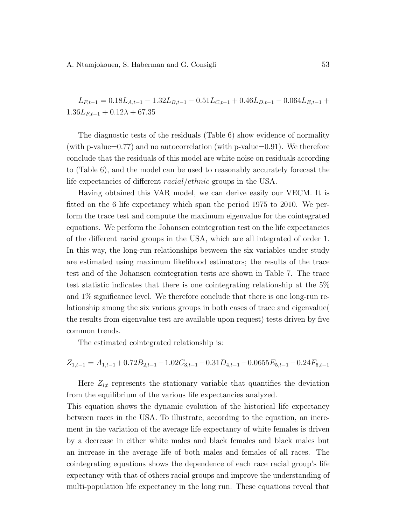A. Ntamjokouen, S. Haberman and G. Consigli 53

$$
L_{F,t-1} = 0.18L_{A,t-1} - 1.32L_{B,t-1} - 0.51L_{C,t-1} + 0.46L_{D,t-1} - 0.064L_{E,t-1} + 1.36L_{F,t-1} + 0.12\lambda + 67.35
$$

The diagnostic tests of the residuals (Table 6) show evidence of normality (with p-value=0.77) and no autocorrelation (with p-value=0.91). We therefore conclude that the residuals of this model are white noise on residuals according to (Table 6), and the model can be used to reasonably accurately forecast the life expectancies of different racial/ethnic groups in the USA.

Having obtained this VAR model, we can derive easily our VECM. It is fitted on the 6 life expectancy which span the period 1975 to 2010. We perform the trace test and compute the maximum eigenvalue for the cointegrated equations. We perform the Johansen cointegration test on the life expectancies of the different racial groups in the USA, which are all integrated of order 1. In this way, the long-run relationships between the six variables under study are estimated using maximum likelihood estimators; the results of the trace test and of the Johansen cointegration tests are shown in Table 7. The trace test statistic indicates that there is one cointegrating relationship at the 5% and 1% significance level. We therefore conclude that there is one long-run relationship among the six various groups in both cases of trace and eigenvalue( the results from eigenvalue test are available upon request) tests driven by five common trends.

The estimated cointegrated relationship is:

 $Z_{1,t-1} = A_{1,t-1} + 0.72B_{2,t-1} - 1.02C_{3,t-1} - 0.31D_{4,t-1} - 0.0655E_{5,t-1} - 0.24F_{6,t-1}$ 

Here  $Z_{i:t}$  represents the stationary variable that quantifies the deviation from the equilibrium of the various life expectancies analyzed.

This equation shows the dynamic evolution of the historical life expectancy between races in the USA. To illustrate, according to the equation, an increment in the variation of the average life expectancy of white females is driven by a decrease in either white males and black females and black males but an increase in the average life of both males and females of all races. The cointegrating equations shows the dependence of each race racial group's life expectancy with that of others racial groups and improve the understanding of multi-population life expectancy in the long run. These equations reveal that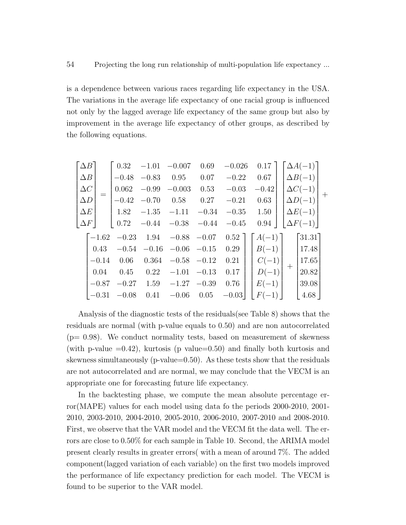is a dependence between various races regarding life expectancy in the USA. The variations in the average life expectancy of one racial group is influenced not only by the lagged average life expectancy of the same group but also by improvement in the average life expectancy of other groups, as described by the following equations.

$$
\begin{bmatrix}\n\Delta B \\
\Delta B \\
\Delta C \\
\Delta D \\
\Delta E \\
\Delta F\n\end{bmatrix} = \begin{bmatrix}\n0.32 & -1.01 & -0.007 & 0.69 & -0.026 & 0.17 \\
-0.48 & -0.83 & 0.95 & 0.07 & -0.22 & 0.67 \\
0.062 & -0.99 & -0.003 & 0.53 & -0.03 & -0.42 \\
-0.42 & -0.70 & 0.58 & 0.27 & -0.21 & 0.63 \\
1.82 & -1.35 & -1.11 & -0.34 & -0.35 & 1.50 \\
0.72 & -0.44 & -0.38 & -0.44 & -0.45 & 0.94\n\end{bmatrix}\n\begin{bmatrix}\n\Delta A(-1) \\
\Delta C(-1) \\
\Delta D(-1) \\
\Delta E(-1) \\
\Delta F(-1)\n\end{bmatrix} + \begin{bmatrix}\n-1.62 & -0.23 & 1.94 & -0.88 & -0.07 & 0.52 \\
0.43 & -0.54 & -0.16 & -0.06 & -0.15 & 0.29 \\
-0.14 & 0.06 & 0.364 & -0.58 & -0.12 & 0.21 \\
0.04 & 0.45 & 0.22 & -1.01 & -0.13 & 0.17 \\
-0.87 & -0.27 & 1.59 & -1.27 & -0.39 & 0.76 \\
-0.31 & -0.08 & 0.41 & -0.06 & 0.05 & -0.03\n\end{bmatrix}\n\begin{bmatrix}\nR(-1) \\
B(-1) \\
C(-1) \\
D(-1) \\
D(-1) \\
E(-1)\n\end{bmatrix} + \begin{bmatrix}\n31.31 \\
17.48 \\
20.82 \\
20.82 \\
39.08 \\
4.68\n\end{bmatrix}
$$

Analysis of the diagnostic tests of the residuals(see Table 8) shows that the residuals are normal (with p-value equals to 0.50) and are non autocorrelated  $(p= 0.98)$ . We conduct normality tests, based on measurement of skewness (with p-value  $=0.42$ ), kurtosis (p value=0.50) and finally both kurtosis and skewness simultaneously ( $p$ -value=0.50). As these tests show that the residuals are not autocorrelated and are normal, we may conclude that the VECM is an appropriate one for forecasting future life expectancy.

In the backtesting phase, we compute the mean absolute percentage error(MAPE) values for each model using data fo the periods 2000-2010, 2001- 2010, 2003-2010, 2004-2010, 2005-2010, 2006-2010, 2007-2010 and 2008-2010. First, we observe that the VAR model and the VECM fit the data well. The errors are close to 0.50% for each sample in Table 10. Second, the ARIMA model present clearly results in greater errors( with a mean of around 7%. The added component(lagged variation of each variable) on the first two models improved the performance of life expectancy prediction for each model. The VECM is found to be superior to the VAR model.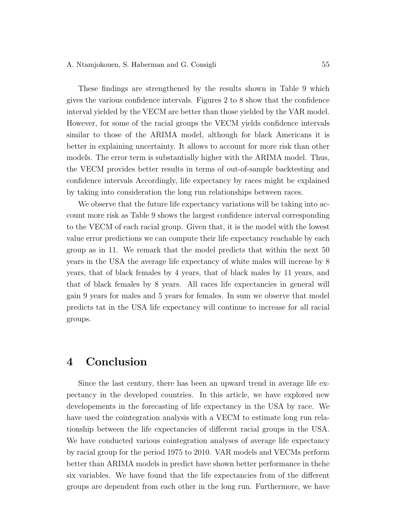These findings are strengthened by the results shown in Table 9 which gives the various confidence intervals. Figures 2 to 8 show that the confidence interval yielded by the VECM are better than those yielded by the VAR model. However, for some of the racial groups the VECM yields confidence intervals similar to those of the ARIMA model, although for black Americans it is better in explaining uncertainty. It allows to account for more risk than other models. The error term is substantially higher with the ARIMA model. Thus, the VECM provides better results in terms of out-of-sample backtesting and confidence intervals Accordingly, life expectancy by races might be explained by taking into consideration the long run relationships between races.

We observe that the future life expectancy variations will be taking into account more risk as Table 9 shows the largest confidence interval corresponding to the VECM of each racial group. Given that, it is the model with the lowest value error predictions we can compute their life expectancy reachable by each group as in 11. We remark that the model predicts that within the next 50 years in the USA the average life expectancy of white males will increae by 8 years, that of black females by 4 years, that of black males by 11 years, and that of black females by 8 years. All races life expectancies in general will gain 9 years for males and 5 years for females. In sum we observe that model predicts tat in the USA life expectancy will continue to increase for all racial groups.

### 4 Conclusion

Since the last century, there has been an upward trend in average life expectancy in the developed countries. In this article, we have explored new developements in the forecasting of life expectancy in the USA by race. We have used the cointegration analysis with a VECM to estimate long run relationship between the life expectancies of different racial groups in the USA. We have conducted various cointegration analyses of average life expectancy by racial group for the period 1975 to 2010. VAR models and VECMs perform better than ARIMA models in predict have shown better performance in thehe six variables. We have found that the life expectancies from of the different groups are dependent from each other in the long run. Furthermore, we have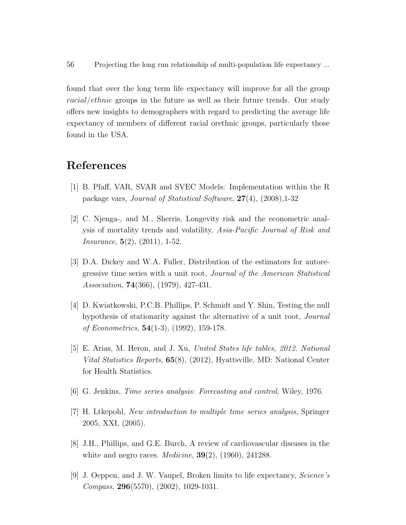found that over the long term life expectancy will improve for all the group racial/ethnic groups in the future as well as their future trends. Our study offers new insights to demographers with regard to predicting the average life expectancy of members of different racial orethnic groups, particularly those found in the USA.

### References

- [1] B. Pfaff, VAR, SVAR and SVEC Models: Implementation within the R package vars, Journal of Statistical Software, 27(4), (2008),1-32
- [2] C. Njenga-, and M., Sherris, Longevity risk and the econometric analysis of mortality trends and volatility, Asia-Pacific Journal of Risk and Insurance, 5(2), (2011), 1-52.
- [3] D.A. Dickey and W.A. Fuller, Distribution of the estimators for autoregressive time series with a unit root, Journal of the American Statistical Association, **74**(366), (1979), 427-431.
- [4] D. Kwiatkowski, P.C.B. Phillips, P. Schmidt and Y. Shin, Testing the null hypothesis of stationarity against the alternative of a unit root, *Journal* of Econometrics, 54(1-3), (1992), 159-178.
- [5] E. Arias, M. Heron, and J. Xu, United States life tables, 2012. National Vital Statistics Reports, 65(8), (2012), Hyattsville, MD: National Center for Health Statistics.
- [6] G. Jenkins, Time series analysis: Forecasting and control, Wiley, 1976.
- [7] H. Ltkepohl, New introduction to multiple time series analysis, Springer 2005, XXI, (2005).
- [8] J.H., Phillips, and G.E. Burch, A review of cardiovascular diseases in the white and negro races. *Medicine*,  $39(2)$ ,  $(1960)$ ,  $241288$ .
- [9] J. Oeppen, and J. W. Vaupel, Broken limits to life expectancy, Science's Compass, 296(5570), (2002), 1029-1031.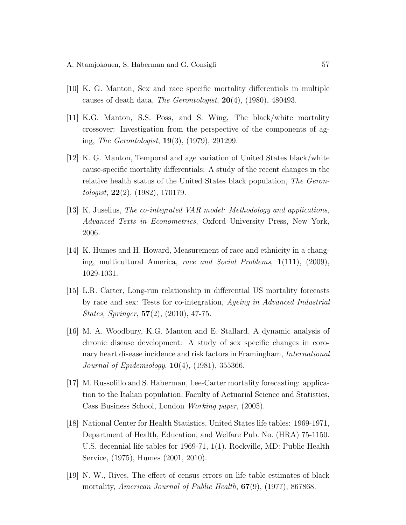- [10] K. G. Manton, Sex and race specific mortality differentials in multiple causes of death data, The Gerontologist,  $20(4)$ ,  $(1980)$ ,  $480493$ .
- [11] K.G. Manton, S.S. Poss, and S. Wing, The black/white mortality crossover: Investigation from the perspective of the components of aging, The Gerontologist, 19(3), (1979), 291299.
- [12] K. G. Manton, Temporal and age variation of United States black/white cause-specific mortality differentials: A study of the recent changes in the relative health status of the United States black population, The Gerontologist, 22(2), (1982), 170179.
- [13] K. Juselius, The co-integrated VAR model: Methodology and applications, Advanced Texts in Econometrics, Oxford University Press, New York, 2006.
- [14] K. Humes and H. Howard, Measurement of race and ethnicity in a changing, multicultural America, race and Social Problems, 1(111), (2009), 1029-1031.
- [15] L.R. Carter, Long-run relationship in differential US mortality forecasts by race and sex: Tests for co-integration, Ageing in Advanced Industrial States, Springer, 57(2), (2010), 47-75.
- [16] M. A. Woodbury, K.G. Manton and E. Stallard, A dynamic analysis of chronic disease development: A study of sex specific changes in coronary heart disease incidence and risk factors in Framingham, International Journal of Epidemiology, 10(4), (1981), 355366.
- [17] M. Russolillo and S. Haberman, Lee-Carter mortality forecasting: application to the Italian population. Faculty of Actuarial Science and Statistics, Cass Business School, London Working paper, (2005).
- [18] National Center for Health Statistics, United States life tables: 1969-1971, Department of Health, Education, and Welfare Pub. No. (HRA) 75-1150. U.S. decennial life tables for 1969-71, 1(1). Rockville, MD: Public Health Service, (1975), Humes (2001, 2010).
- [19] N. W., Rives, The effect of census errors on life table estimates of black mortality, American Journal of Public Health,  $67(9)$ ,  $(1977)$ , 867868.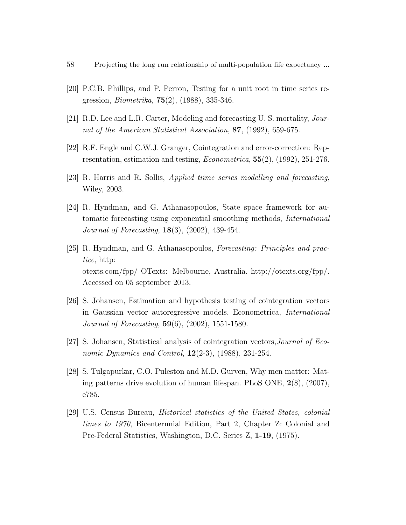- 58 Projecting the long run relationship of multi-population life expectancy ...
- [20] P.C.B. Phillips, and P. Perron, Testing for a unit root in time series regression, Biometrika, 75(2), (1988), 335-346.
- [21] R.D. Lee and L.R. Carter, Modeling and forecasting U.S. mortality, *Jour*nal of the American Statistical Association, 87, (1992), 659-675.
- [22] R.F. Engle and C.W.J. Granger, Cointegration and error-correction: Representation, estimation and testing, Econometrica, 55(2), (1992), 251-276.
- [23] R. Harris and R. Sollis, Applied tiime series modelling and forecasting, Wiley, 2003.
- [24] R. Hyndman, and G. Athanasopoulos, State space framework for automatic forecasting using exponential smoothing methods, International Journal of Forecasting, 18(3), (2002), 439-454.
- [25] R. Hyndman, and G. Athanasopoulos, Forecasting: Principles and practice, http: otexts.com/fpp/ OTexts: Melbourne, Australia. http://otexts.org/fpp/. Accessed on 05 september 2013.
- [26] S. Johansen, Estimation and hypothesis testing of cointegration vectors in Gaussian vector autoregressive models. Econometrica, International Journal of Forecasting, 59(6), (2002), 1551-1580.
- [27] S. Johansen, Statistical analysis of cointegration vectors,Journal of Economic Dynamics and Control,  $12(2-3)$ ,  $(1988)$ ,  $231-254$ .
- [28] S. Tulgapurkar, C.O. Puleston and M.D. Gurven, Why men matter: Mating patterns drive evolution of human lifespan. PLoS ONE, 2(8), (2007), e785.
- [29] U.S. Census Bureau, Historical statistics of the United States, colonial times to 1970, Bicenternnial Edition, Part 2, Chapter Z: Colonial and Pre-Federal Statistics, Washington, D.C. Series Z, 1-19, (1975).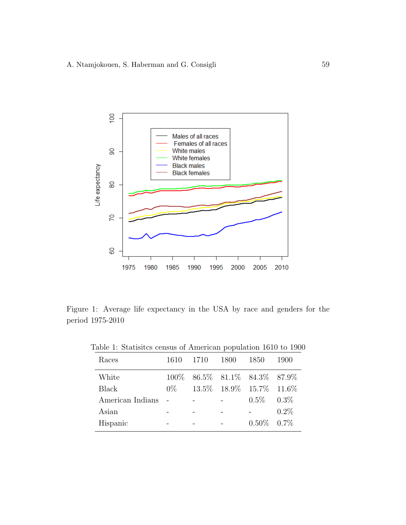

Figure 1: Average life expectancy in the USA by race and genders for the period 1975-2010

| Races            | 1610  | 1710                              | 1800 | 1850                        | 1900    |
|------------------|-------|-----------------------------------|------|-----------------------------|---------|
| White            |       | 100\% 86.5\% 81.1\% 84.3\% 87.9\% |      |                             |         |
| <b>Black</b>     | $0\%$ |                                   |      | 13.5\% 18.9\% 15.7\% 11.6\% |         |
| American Indians |       |                                   |      | $0.5\%$ $0.3\%$             |         |
| Asian            |       |                                   |      |                             | $0.2\%$ |
| Hispanic         |       |                                   |      | $0.50\%$ $0.7\%$            |         |

Table 1: Statisitcs census of American population 1610 to 1900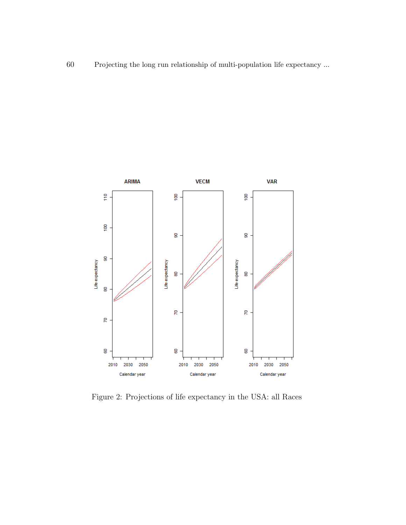

Figure 2: Projections of life expectancy in the USA: all Races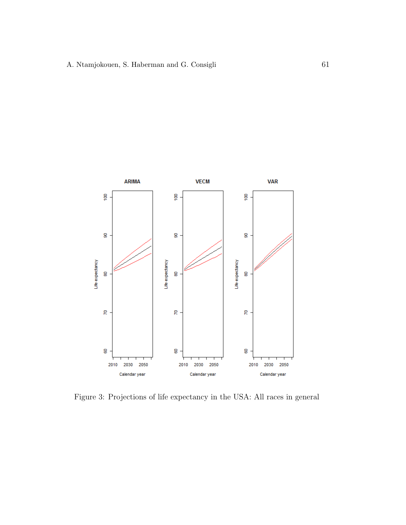

Figure 3: Projections of life expectancy in the USA: All races in general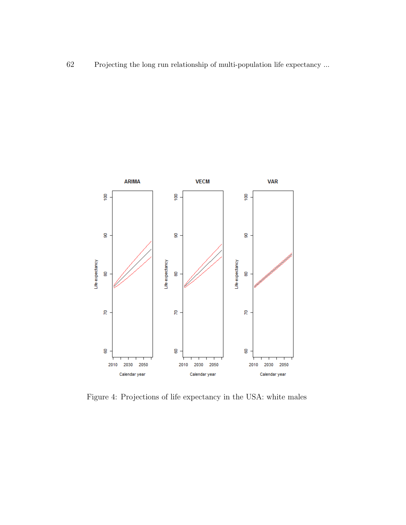

Figure 4: Projections of life expectancy in the USA: white males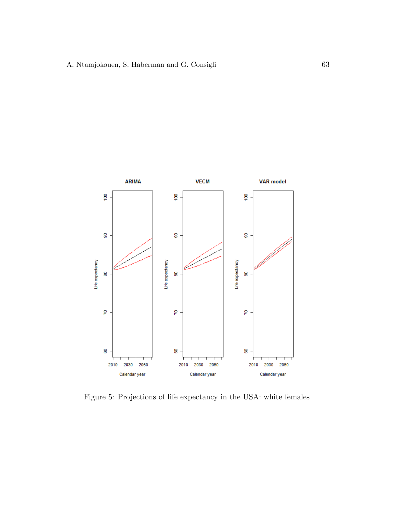

Figure 5: Projections of life expectancy in the USA: white females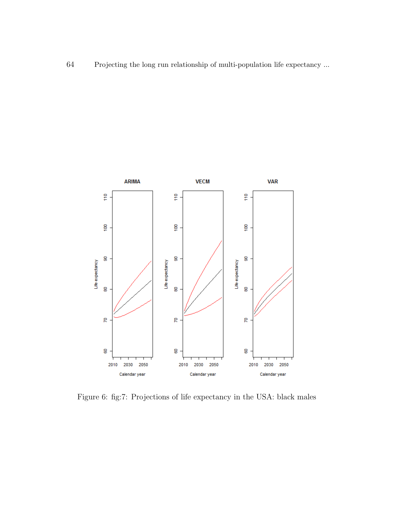

Figure 6: fig:7: Projections of life expectancy in the USA: black males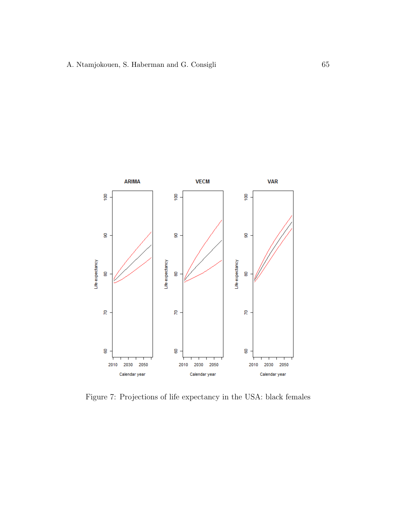

Figure 7: Projections of life expectancy in the USA: black females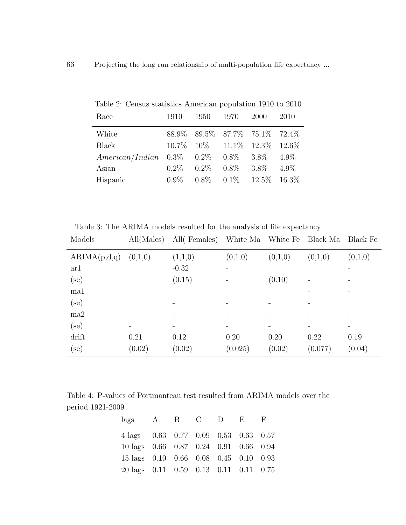| 1910    | 1950    | 1970 | <b>2000</b> | 2010                                                                                                                                                                                                                                        |
|---------|---------|------|-------------|---------------------------------------------------------------------------------------------------------------------------------------------------------------------------------------------------------------------------------------------|
|         |         |      |             |                                                                                                                                                                                                                                             |
|         |         |      |             |                                                                                                                                                                                                                                             |
|         |         |      |             | $4.9\%$                                                                                                                                                                                                                                     |
| $0.2\%$ | $0.2\%$ |      | $3.8\%$     | $4.9\%$                                                                                                                                                                                                                                     |
| $0.9\%$ |         |      |             |                                                                                                                                                                                                                                             |
|         |         |      |             | Lable 2. Octibus statistics Afflictical population 1910 to 2010<br>88.9% 89.5% 87.7% 75.1% 72.4%<br>$10.7\%$ $10\%$ $11.1\%$ $12.3\%$ $12.6\%$<br>$American/Indian$ 0.3\% 0.2\% 0.8\% 3.8\%<br>$0.8\%$<br>$0.8\%$ $0.1\%$ $12.5\%$ $16.3\%$ |

Table 2: Census statistics American population 1910 to 2010

Table 3: The ARIMA models resulted for the analysis of life expectancy

| Models        | All(Males) | All(Females) | White Ma White Fe |         | Black Ma | Black Fe |
|---------------|------------|--------------|-------------------|---------|----------|----------|
| ARIMA(p,d,q)  | (0,1,0)    | (1,1,0)      | (0,1,0)           | (0,1,0) | (0,1,0)  | (0,1,0)  |
| ar1           |            | $-0.32$      |                   |         |          |          |
| $_{\rm (se)}$ |            | (0.15)       |                   | (0.10)  |          |          |
| ma1           |            |              |                   |         |          |          |
| $_{\rm (se)}$ |            |              |                   |         |          |          |
| ma2           |            |              |                   |         |          |          |
| $_{\rm (se)}$ |            |              |                   |         |          |          |
| drift         | 0.21       | 0.12         | 0.20              | 0.20    | 0.22     | 0.19     |
| $_{\rm (se)}$ | (0.02)     | (0.02)       | (0.025)           | (0.02)  | (0.077)  | (0.04)   |

Table 4: P-values of Portmanteau test resulted from ARIMA models over the period 1921-2009  $\overline{\phantom{0}}$ 

| lags                                  | A B C D |  | $\mathbf{E}$ |  |
|---------------------------------------|---------|--|--------------|--|
| 4 lags 0.63 0.77 0.09 0.53 0.63 0.57  |         |  |              |  |
| 10 lags 0.66 0.87 0.24 0.91 0.66 0.94 |         |  |              |  |
| 15 lags 0.10 0.66 0.08 0.45 0.10 0.93 |         |  |              |  |
| 20 lags 0.11 0.59 0.13 0.11 0.11 0.75 |         |  |              |  |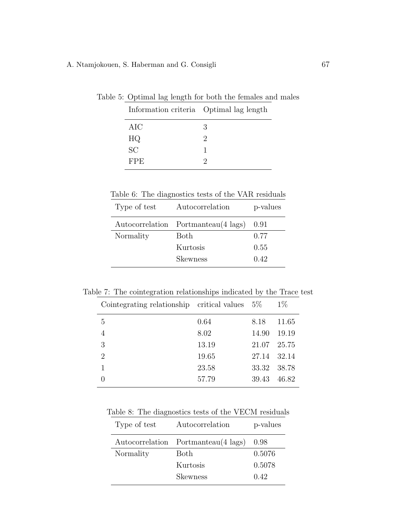| ble 5: Optimal lag length for both the females and male |  |  |  |  |  |
|---------------------------------------------------------|--|--|--|--|--|
| Information criteria Optimal lag length                 |  |  |  |  |  |
| AIC                                                     |  |  |  |  |  |
| HQ                                                      |  |  |  |  |  |
| SC                                                      |  |  |  |  |  |
| FPE.                                                    |  |  |  |  |  |
|                                                         |  |  |  |  |  |

Table 5: Optimal lag length for both the females and males

Table 6: The diagnostics tests of the VAR residuals

| Type of test | Autocorrelation                     | p-values |
|--------------|-------------------------------------|----------|
|              | Autocorrelation Portmanteau(4 lags) | 0.91     |
| Normality    | Both                                | 0.77     |
|              | Kurtosis                            | 0.55     |
|              | Skewness                            | 0.42     |

Table 7: The cointegration relationships indicated by the Trace test

| Cointegrating relationship critical values $5\%$ |       |       | $1\%$ |
|--------------------------------------------------|-------|-------|-------|
| 5                                                | 0.64  | 8.18  | 11.65 |
|                                                  | 8.02  | 14.90 | 19.19 |
| 3                                                | 13.19 | 21.07 | 25.75 |
| $\overline{2}$                                   | 19.65 | 27.14 | 32.14 |
|                                                  | 23.58 | 33.32 | 38.78 |
|                                                  | 57.79 | 39.43 | 46.82 |

Table 8: The diagnostics tests of the VECM residuals

| Type of test | Autocorrelation                     | p-values |
|--------------|-------------------------------------|----------|
|              | Autocorrelation Portmanteau(4 lags) | 0.98     |
| Normality    | Both                                | 0.5076   |
|              | Kurtosis                            | 0.5078   |
|              | Skewness                            | 0.42     |